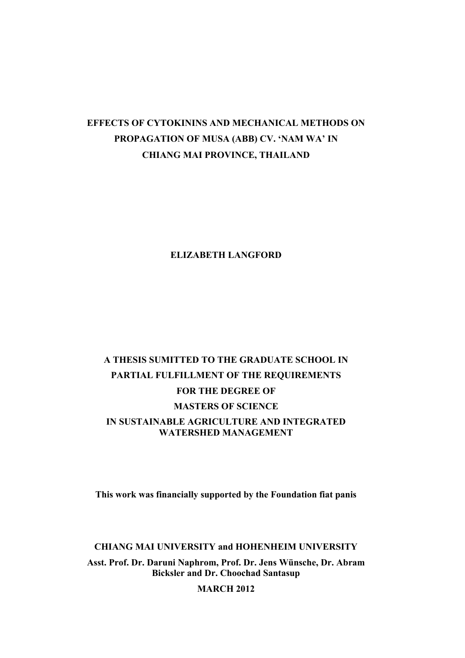## **EFFECTS OF CYTOKININS AND MECHANICAL METHODS ON PROPAGATION OF MUSA (ABB) CV. 'NAM WA' IN CHIANG MAI PROVINCE, THAILAND**

## **ELIZABETH LANGFORD**

## **A THESIS SUMITTED TO THE GRADUATE SCHOOL IN PARTIAL FULFILLMENT OF THE REQUIREMENTS FOR THE DEGREE OF MASTERS OF SCIENCE IN SUSTAINABLE AGRICULTURE AND INTEGRATED WATERSHED MANAGEMENT**

**This work was financially supported by the Foundation fiat panis**

**CHIANG MAI UNIVERSITY and HOHENHEIM UNIVERSITY**

**Asst. Prof. Dr. Daruni Naphrom, Prof. Dr. Jens Wünsche, Dr. Abram Bicksler and Dr. Choochad Santasup**

**MARCH 2012**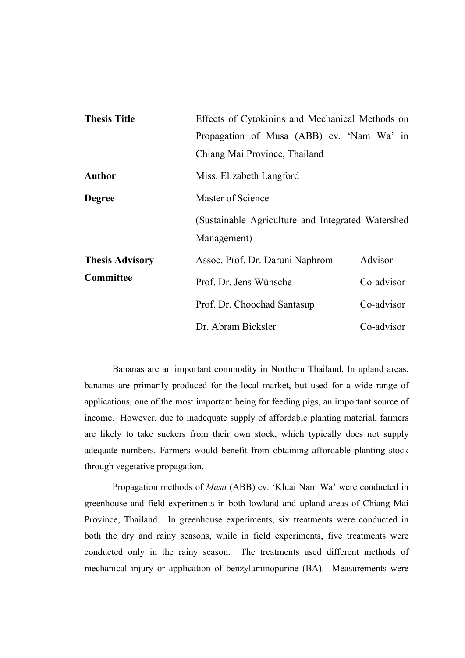| <b>Thesis Title</b>    | Effects of Cytokinins and Mechanical Methods on                   |            |
|------------------------|-------------------------------------------------------------------|------------|
|                        | Propagation of Musa (ABB) cv. 'Nam Wa' in                         |            |
|                        | Chiang Mai Province, Thailand                                     |            |
| <b>Author</b>          | Miss. Elizabeth Langford                                          |            |
| <b>Degree</b>          | Master of Science                                                 |            |
|                        | (Sustainable Agriculture and Integrated Watershed)<br>Management) |            |
| <b>Thesis Advisory</b> | Assoc. Prof. Dr. Daruni Naphrom                                   | Advisor    |
| Committee              | Prof. Dr. Jens Wünsche                                            | Co-advisor |
|                        | Prof. Dr. Choochad Santasup                                       | Co-advisor |
|                        | Dr. Abram Bicksler                                                | Co-advisor |

Bananas are an important commodity in Northern Thailand. In upland areas, bananas are primarily produced for the local market, but used for a wide range of applications, one of the most important being for feeding pigs, an important source of income. However, due to inadequate supply of affordable planting material, farmers are likely to take suckers from their own stock, which typically does not supply adequate numbers. Farmers would benefit from obtaining affordable planting stock through vegetative propagation.

Propagation methods of *Musa* (ABB) cv. 'Kluai Nam Wa' were conducted in greenhouse and field experiments in both lowland and upland areas of Chiang Mai Province, Thailand. In greenhouse experiments, six treatments were conducted in both the dry and rainy seasons, while in field experiments, five treatments were conducted only in the rainy season. The treatments used different methods of mechanical injury or application of benzylaminopurine (BA). Measurements were